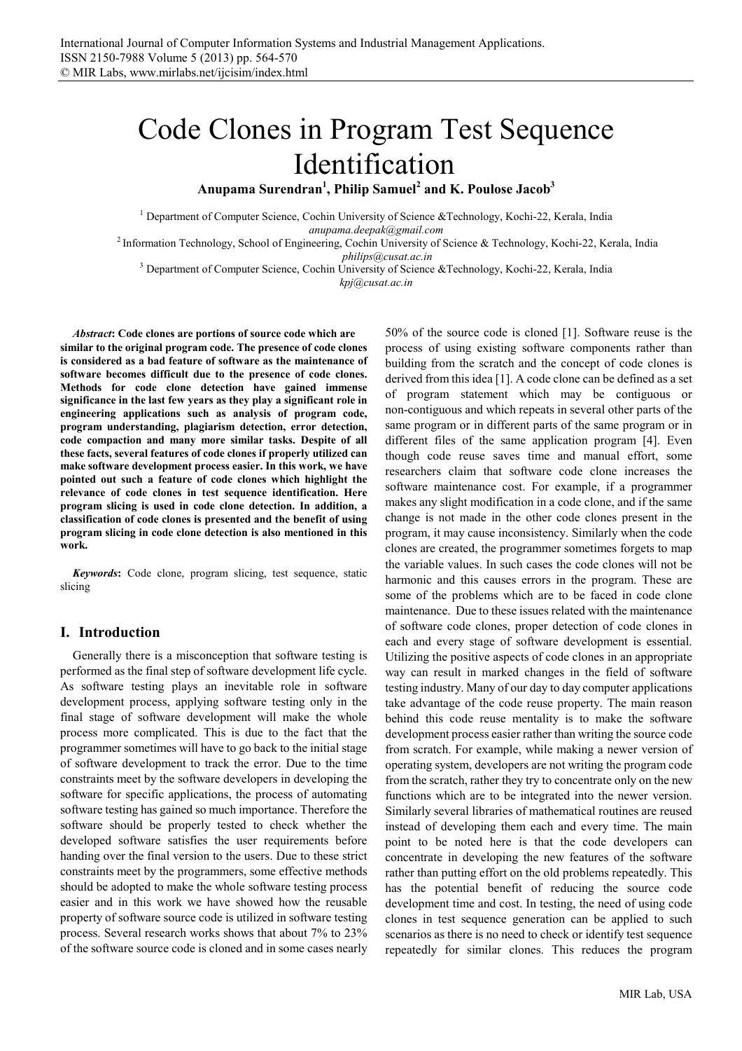# Code Clones in Program Test Sequence Identification

**Anupama Surendran<sup>1</sup> , Philip Samuel<sup>2</sup> and K. Poulose Jacob<sup>3</sup>**

<sup>1</sup> Department of Computer Science, Cochin University of Science &Technology, Kochi-22, Kerala, India *anupama.deepak@gmail.com* 

<sup>2</sup> Information Technology, School of Engineering, Cochin University of Science & Technology, Kochi-22, Kerala, India

*philips@cusat.ac.in* 

<sup>3</sup> Department of Computer Science, Cochin University of Science &Technology, Kochi-22, Kerala, India

*kpj@cusat.ac.in* 

*Abstract***: Code clones are portions of source code which are similar to the original program code. The presence of code clones is considered as a bad feature of software as the maintenance of software becomes difficult due to the presence of code clones. Methods for code clone detection have gained immense significance in the last few years as they play a significant role in engineering applications such as analysis of program code, program understanding, plagiarism detection, error detection, code compaction and many more similar tasks. Despite of all these facts, several features of code clones if properly utilized can make software development process easier. In this work, we have pointed out such a feature of code clones which highlight the relevance of code clones in test sequence identification. Here program slicing is used in code clone detection. In addition, a classification of code clones is presented and the benefit of using program slicing in code clone detection is also mentioned in this work.** 

*Keywords***:** Code clone, program slicing, test sequence, static slicing

# **I. Introduction**

Generally there is a misconception that software testing is performed as the final step of software development life cycle. As software testing plays an inevitable role in software development process, applying software testing only in the final stage of software development will make the whole process more complicated. This is due to the fact that the programmer sometimes will have to go back to the initial stage of software development to track the error. Due to the time constraints meet by the software developers in developing the software for specific applications, the process of automating software testing has gained so much importance. Therefore the software should be properly tested to check whether the developed software satisfies the user requirements before handing over the final version to the users. Due to these strict constraints meet by the programmers, some effective methods should be adopted to make the whole software testing process easier and in this work we have showed how the reusable property of software source code is utilized in software testing process. Several research works shows that about 7% to 23% of the software source code is cloned and in some cases nearly 50% of the source code is cloned [1]. Software reuse is the process of using existing software components rather than building from the scratch and the concept of code clones is derived from this idea [1]. A code clone can be defined as a set of program statement which may be contiguous or non-contiguous and which repeats in several other parts of the same program or in different parts of the same program or in different files of the same application program [4]. Even though code reuse saves time and manual effort, some researchers claim that software code clone increases the software maintenance cost. For example, if a programmer makes any slight modification in a code clone, and if the same change is not made in the other code clones present in the program, it may cause inconsistency. Similarly when the code clones are created, the programmer sometimes forgets to map the variable values. In such cases the code clones will not be harmonic and this causes errors in the program. These are some of the problems which are to be faced in code clone maintenance. Due to these issues related with the maintenance of software code clones, proper detection of code clones in each and every stage of software development is essential. Utilizing the positive aspects of code clones in an appropriate way can result in marked changes in the field of software testing industry. Many of our day to day computer applications take advantage of the code reuse property. The main reason behind this code reuse mentality is to make the software development process easier rather than writing the source code from scratch. For example, while making a newer version of operating system, developers are not writing the program code from the scratch, rather they try to concentrate only on the new functions which are to be integrated into the newer version. Similarly several libraries of mathematical routines are reused instead of developing them each and every time. The main point to be noted here is that the code developers can concentrate in developing the new features of the software rather than putting effort on the old problems repeatedly. This has the potential benefit of reducing the source code development time and cost. In testing, the need of using code clones in test sequence generation can be applied to such scenarios as there is no need to check or identify test sequence repeatedly for similar clones. This reduces the program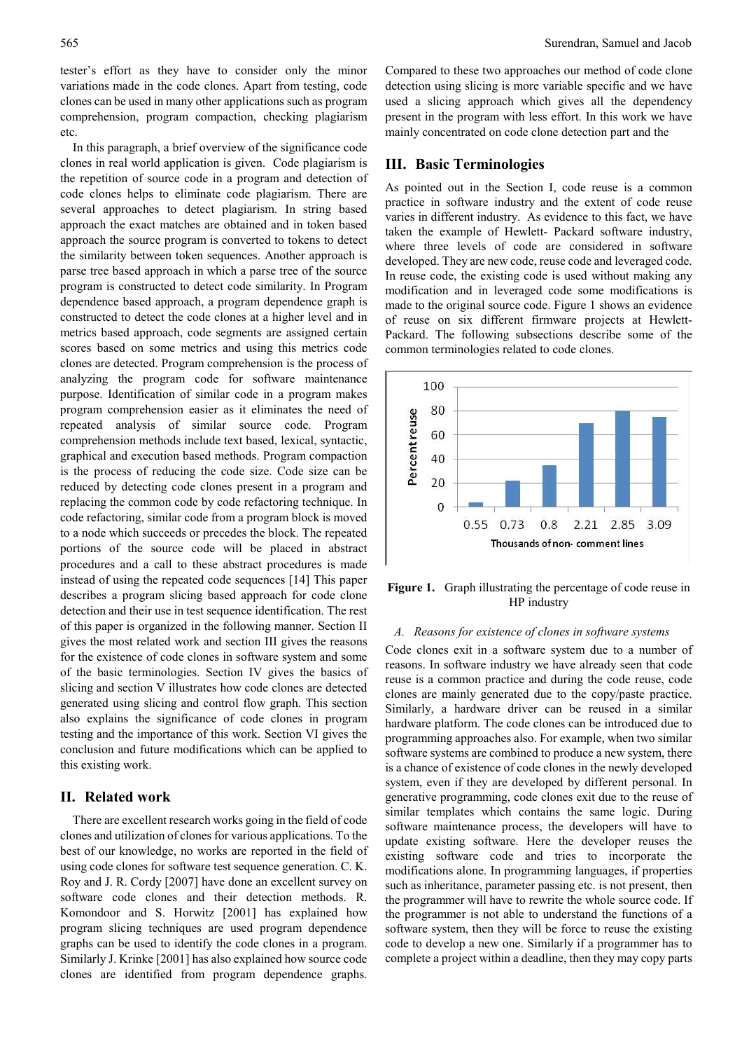tester's effort as they have to consider only the minor variations made in the code clones. Apart from testing, code clones can be used in many other applications such as program comprehension, program compaction, checking plagiarism etc.

In this paragraph, a brief overview of the significance code clones in real world application is given. Code plagiarism is the repetition of source code in a program and detection of code clones helps to eliminate code plagiarism. There are several approaches to detect plagiarism. In string based approach the exact matches are obtained and in token based approach the source program is converted to tokens to detect the similarity between token sequences. Another approach is parse tree based approach in which a parse tree of the source program is constructed to detect code similarity. In Program dependence based approach, a program dependence graph is constructed to detect the code clones at a higher level and in metrics based approach, code segments are assigned certain scores based on some metrics and using this metrics code clones are detected. Program comprehension is the process of analyzing the program code for software maintenance purpose. Identification of similar code in a program makes program comprehension easier as it eliminates the need of repeated analysis of similar source code. Program comprehension methods include text based, lexical, syntactic, graphical and execution based methods. Program compaction is the process of reducing the code size. Code size can be reduced by detecting code clones present in a program and replacing the common code by code refactoring technique. In code refactoring, similar code from a program block is moved to a node which succeeds or precedes the block. The repeated portions of the source code will be placed in abstract procedures and a call to these abstract procedures is made instead of using the repeated code sequences [14] This paper describes a program slicing based approach for code clone detection and their use in test sequence identification. The rest of this paper is organized in the following manner. Section II gives the most related work and section III gives the reasons for the existence of code clones in software system and some of the basic terminologies. Section IV gives the basics of slicing and section V illustrates how code clones are detected generated using slicing and control flow graph. This section also explains the significance of code clones in program testing and the importance of this work. Section VI gives the conclusion and future modifications which can be applied to this existing work.

# **II. Related work**

There are excellent research works going in the field of code clones and utilization of clones for various applications. To the best of our knowledge, no works are reported in the field of using code clones for software test sequence generation. C. K. Roy and J. R. Cordy [2007] have done an excellent survey on software code clones and their detection methods. R. Komondoor and S. Horwitz [2001] has explained how program slicing techniques are used program dependence graphs can be used to identify the code clones in a program. Similarly J. Krinke [2001] has also explained how source code clones are identified from program dependence graphs.

Compared to these two approaches our method of code clone detection using slicing is more variable specific and we have used a slicing approach which gives all the dependency present in the program with less effort. In this work we have mainly concentrated on code clone detection part and the

## **III. Basic Terminologies**

As pointed out in the Section I, code reuse is a common practice in software industry and the extent of code reuse varies in different industry. As evidence to this fact, we have taken the example of Hewlett- Packard software industry, where three levels of code are considered in software developed. They are new code, reuse code and leveraged code. In reuse code, the existing code is used without making any modification and in leveraged code some modifications is made to the original source code. Figure 1 shows an evidence of reuse on six different firmware projects at Hewlett-Packard. The following subsections describe some of the common terminologies related to code clones.



**Figure 1.** Graph illustrating the percentage of code reuse in HP industry

#### *A. Reasons for existence of clones in software systems*

Code clones exit in a software system due to a number of reasons. In software industry we have already seen that code reuse is a common practice and during the code reuse, code clones are mainly generated due to the copy/paste practice. Similarly, a hardware driver can be reused in a similar hardware platform. The code clones can be introduced due to programming approaches also. For example, when two similar software systems are combined to produce a new system, there is a chance of existence of code clones in the newly developed system, even if they are developed by different personal. In generative programming, code clones exit due to the reuse of similar templates which contains the same logic. During software maintenance process, the developers will have to update existing software. Here the developer reuses the existing software code and tries to incorporate the modifications alone. In programming languages, if properties such as inheritance, parameter passing etc. is not present, then the programmer will have to rewrite the whole source code. If the programmer is not able to understand the functions of a software system, then they will be force to reuse the existing code to develop a new one. Similarly if a programmer has to complete a project within a deadline, then they may copy parts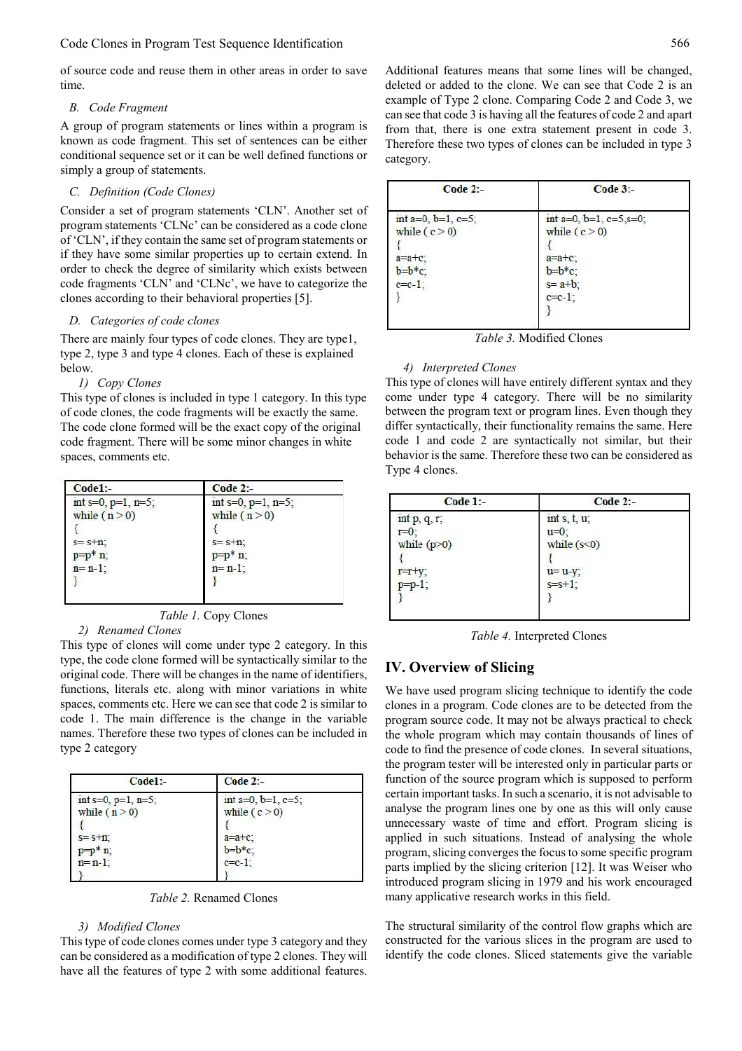of source code and reuse them in other areas in order to save time.

#### *B. Code Fragment*

A group of program statements or lines within a program is known as code fragment. This set of sentences can be either conditional sequence set or it can be well defined functions or simply a group of statements.

## *C. Definition (Code Clones)*

Consider a set of program statements 'CLN'. Another set of program statements 'CLNc' can be considered as a code clone of 'CLN', if they contain the same set of program statements or if they have some similar properties up to certain extend. In order to check the degree of similarity which exists between code fragments 'CLN' and 'CLNc', we have to categorize the clones according to their behavioral properties [5].

### *D. Categories of code clones*

There are mainly four types of code clones. They are type1, type 2, type 3 and type 4 clones. Each of these is explained below.

## *1) Copy Clones*

This type of clones is included in type 1 category. In this type of code clones, the code fragments will be exactly the same. The code clone formed will be the exact copy of the original code fragment. There will be some minor changes in white spaces, comments etc.

| $Code1:-$            | <b>Code 2:-</b>          |
|----------------------|--------------------------|
| $int s=0, p=1, n=5;$ | int s=0, $p=1$ , $n=5$ ; |
| while $(n>0)$        | while $(n > 0)$          |
|                      |                          |
| $s = s+n$ ;          | $s = s+n$ ;              |
| $p=p^*n;$            | $p=p^*n;$                |
| $n=n-1$ ;            | $n = n-1$ ;              |
|                      |                          |

*Table 1.* Copy Clones

#### *2) Renamed Clones*

This type of clones will come under type 2 category. In this type, the code clone formed will be syntactically similar to the original code. There will be changes in the name of identifiers, functions, literals etc. along with minor variations in white spaces, comments etc. Here we can see that code 2 is similar to code 1. The main difference is the change in the variable names. Therefore these two types of clones can be included in type 2 category

| $Code1:-$                   | $Code 2$ :-                  |  |
|-----------------------------|------------------------------|--|
| $int s=0$ , $p=1$ , $n=5$ ; | int a=0, $b=1$ , $c=5$ ;     |  |
| while $(n > 0)$             | while $(c > 0)$              |  |
|                             |                              |  |
| $s = s+n$ ;                 |                              |  |
| $p=p^*n;$                   | $a=a+c;$<br>b=b*c;<br>c=c-1; |  |
| $n = n-1$ ;                 |                              |  |
|                             |                              |  |

*Table 2.* Renamed Clones

## *3) Modified Clones*

This type of code clones comes under type 3 category and they can be considered as a modification of type 2 clones. They will have all the features of type 2 with some additional features.

Additional features means that some lines will be changed, deleted or added to the clone. We can see that Code 2 is an example of Type 2 clone. Comparing Code 2 and Code 3, we can see that code 3 is having all the features of code 2 and apart from that, there is one extra statement present in code 3. Therefore these two types of clones can be included in type 3 category.

| $Code 2$ :                                                                   | Code 3:                                                                                             |  |
|------------------------------------------------------------------------------|-----------------------------------------------------------------------------------------------------|--|
| $int a=0, b=1, c=5;$<br>while $(c > 0)$<br>$a=4+c;$<br>$b=b*c;$<br>$c=c-1$ ; | int a=0, b=1, c=5, s=0;<br>while $(c>0)$<br>$a=$ $a+c$ ;<br>$b=b*c;$<br>$s = a+b;$<br>$c = c - 1$ ; |  |

*Table 3.* Modified Clones

## *4) Interpreted Clones*

This type of clones will have entirely different syntax and they come under type 4 category. There will be no similarity between the program text or program lines. Even though they differ syntactically, their functionality remains the same. Here code 1 and code 2 are syntactically not similar, but their behavior is the same. Therefore these two can be considered as Type 4 clones.

| $Code 1:-$    | $Code 2:-$    |
|---------------|---------------|
| int p, q, r;  | int s, t, u;  |
| $r=0$ ;       | $u=0$ ;       |
| while $(p>0)$ | while $(s<0)$ |
| $r=r+y$ ;     | $u = u-y$ ;   |
| $p=p-1$ ;     | $s=s+1$ ;     |

*Table 4.* Interpreted Clones

# **IV. Overview of Slicing**

We have used program slicing technique to identify the code clones in a program. Code clones are to be detected from the program source code. It may not be always practical to check the whole program which may contain thousands of lines of code to find the presence of code clones. In several situations, the program tester will be interested only in particular parts or function of the source program which is supposed to perform certain important tasks. In such a scenario, it is not advisable to analyse the program lines one by one as this will only cause unnecessary waste of time and effort. Program slicing is applied in such situations. Instead of analysing the whole program, slicing converges the focus to some specific program parts implied by the slicing criterion [12]. It was Weiser who introduced program slicing in 1979 and his work encouraged many applicative research works in this field.

The structural similarity of the control flow graphs which are constructed for the various slices in the program are used to identify the code clones. Sliced statements give the variable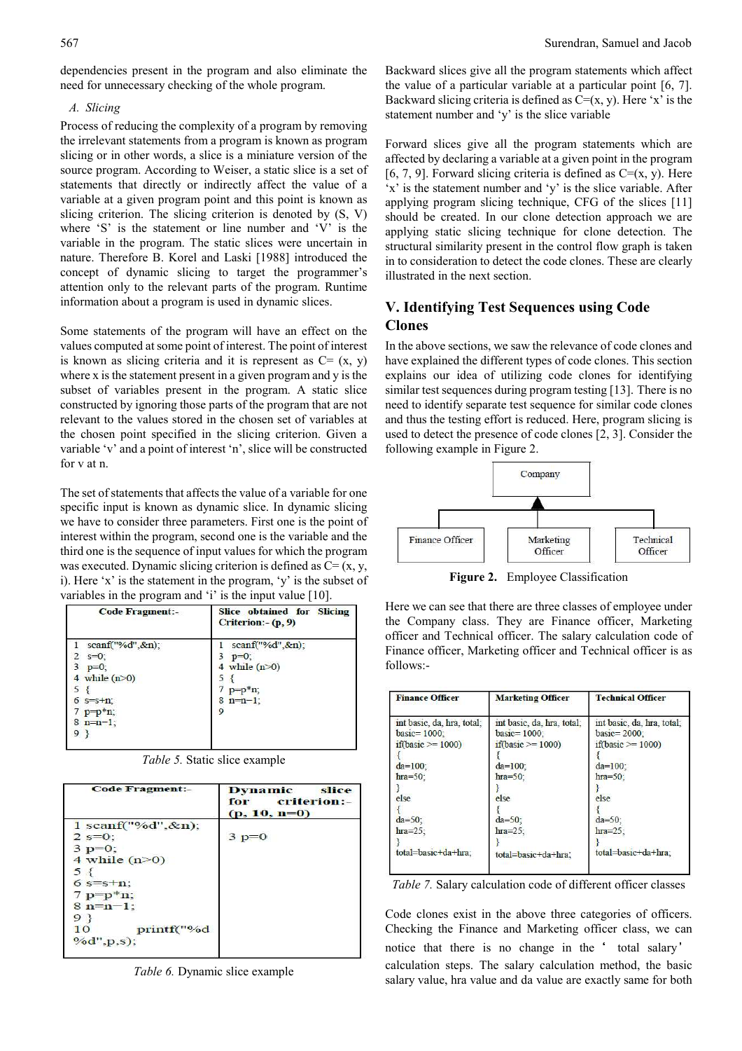dependencies present in the program and also eliminate the need for unnecessary checking of the whole program.

#### *A. Slicing*

Process of reducing the complexity of a program by removing the irrelevant statements from a program is known as program slicing or in other words, a slice is a miniature version of the source program. According to Weiser, a static slice is a set of statements that directly or indirectly affect the value of a variable at a given program point and this point is known as slicing criterion. The slicing criterion is denoted by (S, V) where 'S' is the statement or line number and 'V' is the variable in the program. The static slices were uncertain in nature. Therefore B. Korel and Laski [1988] introduced the concept of dynamic slicing to target the programmer's attention only to the relevant parts of the program. Runtime information about a program is used in dynamic slices.

Some statements of the program will have an effect on the values computed at some point of interest. The point of interest is known as slicing criteria and it is represent as  $C = (x, y)$ where x is the statement present in a given program and y is the subset of variables present in the program. A static slice constructed by ignoring those parts of the program that are not relevant to the values stored in the chosen set of variables at the chosen point specified in the slicing criterion. Given a variable 'v' and a point of interest 'n', slice will be constructed for v at n.

The set of statements that affects the value of a variable for one specific input is known as dynamic slice. In dynamic slicing we have to consider three parameters. First one is the point of interest within the program, second one is the variable and the third one is the sequence of input values for which the program was executed. Dynamic slicing criterion is defined as  $C = (x, y, z)$ i). Here 'x' is the statement in the program, 'y' is the subset of variables in the program and 'i' is the input value [10].

| <b>Code Fragment:-</b>                                                                                      | Slice obtained for Slicing<br>Criterion: - (p, 9)                            |
|-------------------------------------------------------------------------------------------------------------|------------------------------------------------------------------------------|
| scan f("%d", & n);<br>$s=0$ ;<br>$p=0$ ;<br>4 while $(n>0)$<br>6 $s = s + n$ ;<br>$7$ p=p*n;<br>$8 n=n-1$ ; | scanf("%d", & n);<br>$p=0$ ;<br>4 while $(n>0)$<br>$p=p*m$<br>$n=n-1$ :<br>9 |

*Table 5.* Static slice example

| <b>Code Fragment:-</b>                                                                                                                                                                | <b>Dynamic</b> slice<br>criterion:-<br>for<br>$(p, 10, n=0)$ |
|---------------------------------------------------------------------------------------------------------------------------------------------------------------------------------------|--------------------------------------------------------------|
| $1$ scanf("%d", &n);<br>$2 s = 0$ :<br>$3 p=0$ ;<br>4 while $(n>0)$<br>5 <sub>3</sub><br>$6 s = s + n$ :<br>$7 p = p * n$ ;<br>$8 n=n-1$ :<br>$9$ }<br>printf("%d<br>10<br>%d", p,s); | $3 p=0$                                                      |

*Table 6.* Dynamic slice example

Backward slices give all the program statements which affect the value of a particular variable at a particular point [6, 7]. Backward slicing criteria is defined as  $C=(x, y)$ . Here 'x' is the statement number and 'y' is the slice variable

Forward slices give all the program statements which are affected by declaring a variable at a given point in the program [6, 7, 9]. Forward slicing criteria is defined as  $C=(x, y)$ . Here 'x' is the statement number and 'y' is the slice variable. After applying program slicing technique, CFG of the slices [11] should be created. In our clone detection approach we are applying static slicing technique for clone detection. The structural similarity present in the control flow graph is taken in to consideration to detect the code clones. These are clearly illustrated in the next section.

# **V. Identifying Test Sequences using Code Clones**

In the above sections, we saw the relevance of code clones and have explained the different types of code clones. This section explains our idea of utilizing code clones for identifying similar test sequences during program testing [13]. There is no need to identify separate test sequence for similar code clones and thus the testing effort is reduced. Here, program slicing is used to detect the presence of code clones [2, 3]. Consider the following example in Figure 2.



**Figure 2.** Employee Classification

Here we can see that there are three classes of employee under the Company class. They are Finance officer, Marketing officer and Technical officer. The salary calculation code of Finance officer, Marketing officer and Technical officer is as follows:-

| <b>Finance Officer</b>     | <b>Marketing Officer</b>   | <b>Technical Officer</b>   |
|----------------------------|----------------------------|----------------------------|
| int basic, da, hra, total; | int basic, da, hra, total; | int basic, da, hra, total; |
| $base = 1000$              | $basic=1000$ :             | $base = 2000$ :            |
| $if(basic \geq 1000)$      | $if(basic \geq 1000)$      | $if(basic \geq 1000)$      |
|                            |                            |                            |
| $da=100$ ;                 | $da=100$ :                 | $da=100$ :                 |
| $hra=50$ :                 | $hra=50$ :                 | $hra=50$ :                 |
|                            |                            |                            |
| else                       | else                       | else                       |
|                            |                            |                            |
| $da=50$ :                  | $da=50$ :                  | $da=50$ ;                  |
| $hra=25$ :                 | $hra=25$ :                 | $hra=25$ :                 |
|                            |                            |                            |
| total=basic+da+hra;        | total=basic+da+hra:        | total=basic+da+hra;        |

*Table 7.* Salary calculation code of different officer classes

Code clones exist in the above three categories of officers. Checking the Finance and Marketing officer class, we can notice that there is no change in the total salary calculation steps. The salary calculation method, the basic salary value, hra value and da value are exactly same for both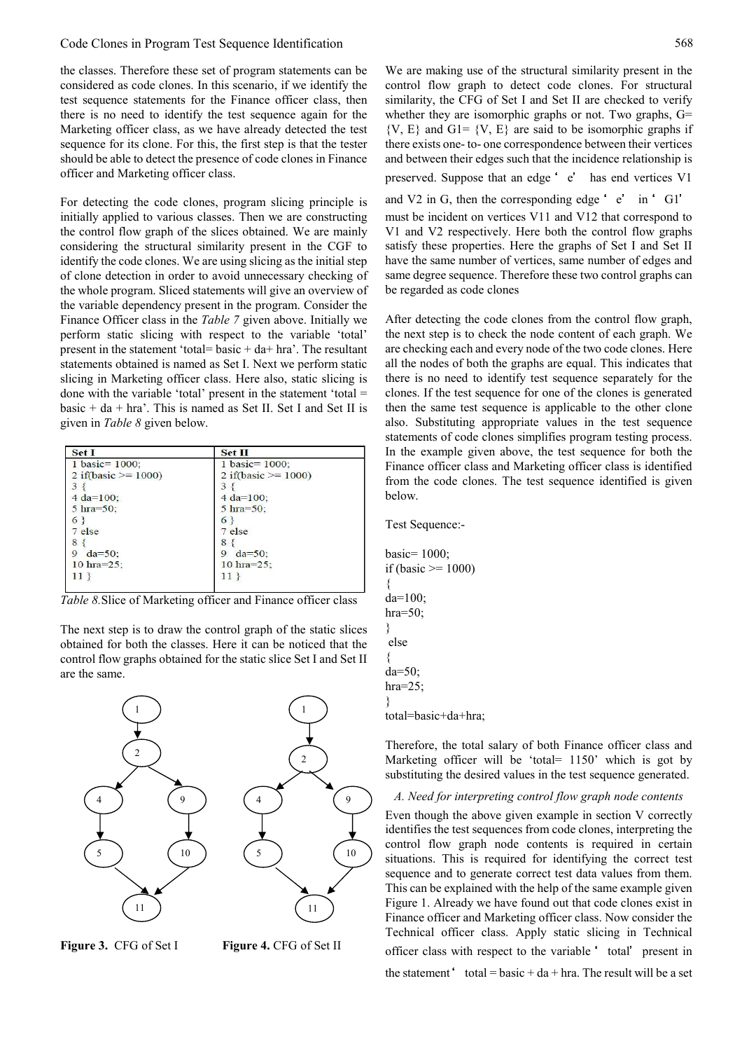the classes. Therefore these set of program statements can be considered as code clones. In this scenario, if we identify the test sequence statements for the Finance officer class, then there is no need to identify the test sequence again for the Marketing officer class, as we have already detected the test sequence for its clone. For this, the first step is that the tester should be able to detect the presence of code clones in Finance officer and Marketing officer class.

For detecting the code clones, program slicing principle is initially applied to various classes. Then we are constructing the control flow graph of the slices obtained. We are mainly considering the structural similarity present in the CGF to identify the code clones. We are using slicing as the initial step of clone detection in order to avoid unnecessary checking of the whole program. Sliced statements will give an overview of the variable dependency present in the program. Consider the Finance Officer class in the *Table 7* given above. Initially we perform static slicing with respect to the variable 'total' present in the statement 'total= basic + da+ hra'. The resultant statements obtained is named as Set I. Next we perform static slicing in Marketing officer class. Here also, static slicing is done with the variable 'total' present in the statement 'total = basic + da + hra'. This is named as Set II. Set I and Set II is given in *Table 8* given below.

| Set I                   | Set II                  |
|-------------------------|-------------------------|
| 1 basic= $1000$ :       | 1 basic= $1000$ :       |
| 2 if(basic $>= 1000$ )  | 2 if(basic $>= 1000$ )  |
| $\overline{3}$          | $\mathbf{3}$            |
| $4$ da= $100$ :         | $4$ da= $100$ :         |
| $5 \text{ hra} = 50$ ;  | $5 \text{ hra} = 50$ ;  |
| 6 }                     | 6                       |
| 7 else                  | 7 else                  |
| 8 <sup>5</sup>          | 8 {                     |
| 9<br>$da=50$ :          | 9 $da=50$ ;             |
| $10 \text{ hra} = 25$ : | $10 \text{ hra} = 25$ ; |
| $11 \;$                 | $11$ }                  |
|                         |                         |

*Table 8.*Slice of Marketing officer and Finance officer class

The next step is to draw the control graph of the static slices obtained for both the classes. Here it can be noticed that the control flow graphs obtained for the static slice Set I and Set II are the same.





We are making use of the structural similarity present in the control flow graph to detect code clones. For structural similarity, the CFG of Set I and Set II are checked to verify whether they are isomorphic graphs or not. Two graphs, G=  ${V, E}$  and  $G1 = {V, E}$  are said to be isomorphic graphs if there exists one- to- one correspondence between their vertices and between their edges such that the incidence relationship is preserved. Suppose that an edge ' e' has end vertices V1 and V2 in G, then the corresponding edge  $\degree$  e $\degree$  in  $\degree$  G1 $\degree$ must be incident on vertices V11 and V12 that correspond to V1 and V2 respectively. Here both the control flow graphs satisfy these properties. Here the graphs of Set I and Set II

have the same number of vertices, same number of edges and same degree sequence. Therefore these two control graphs can

be regarded as code clones After detecting the code clones from the control flow graph, the next step is to check the node content of each graph. We are checking each and every node of the two code clones. Here all the nodes of both the graphs are equal. This indicates that there is no need to identify test sequence separately for the clones. If the test sequence for one of the clones is generated then the same test sequence is applicable to the other clone also. Substituting appropriate values in the test sequence statements of code clones simplifies program testing process. In the example given above, the test sequence for both the Finance officer class and Marketing officer class is identified from the code clones. The test sequence identified is given below.

Test Sequence:-

basic= 1000; if (basic  $\ge$  = 1000) { da=100; hra=50; } else { da=50;  $hra=25$ ; } total=basic+da+hra;

Therefore, the total salary of both Finance officer class and Marketing officer will be 'total= 1150' which is got by substituting the desired values in the test sequence generated.

*A. Need for interpreting control flow graph node contents* 

Even though the above given example in section V correctly identifies the test sequences from code clones, interpreting the control flow graph node contents is required in certain situations. This is required for identifying the correct test sequence and to generate correct test data values from them. This can be explained with the help of the same example given Figure 1. Already we have found out that code clones exist in Finance officer and Marketing officer class. Now consider the Technical officer class. Apply static slicing in Technical officer class with respect to the variable total present in the statement  $\qquad$  total = basic + da + hra. The result will be a set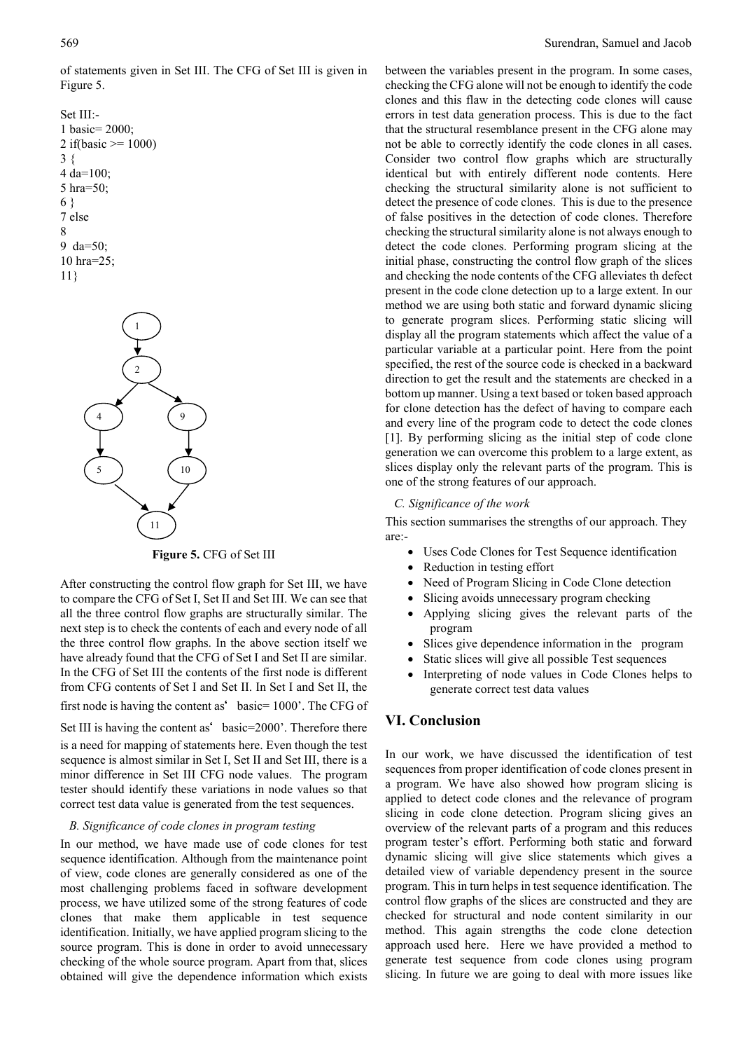of statements given in Set III. The CFG of Set III is given in Figure 5.

```
Set III:- 
1 basic= 2000; 
2 if(basic > = 1000)
3 { 
4 da=100; 
5 hra=50; 
6 } 
7 else 
8 
9 da=50; 
10 hra=25; 
11}
```


**Figure 5.** CFG of Set III

After constructing the control flow graph for Set III, we have to compare the CFG of Set I, Set II and Set III. We can see that all the three control flow graphs are structurally similar. The next step is to check the contents of each and every node of all the three control flow graphs. In the above section itself we have already found that the CFG of Set I and Set II are similar. In the CFG of Set III the contents of the first node is different from CFG contents of Set I and Set II. In Set I and Set II, the first node is having the content as basic= 1000'. The CFG of

Set III is having the content as basic=2000'. Therefore there is a need for mapping of statements here. Even though the test sequence is almost similar in Set I, Set II and Set III, there is a minor difference in Set III CFG node values. The program tester should identify these variations in node values so that correct test data value is generated from the test sequences.

#### *B. Significance of code clones in program testing*

In our method, we have made use of code clones for test sequence identification. Although from the maintenance point of view, code clones are generally considered as one of the most challenging problems faced in software development process, we have utilized some of the strong features of code clones that make them applicable in test sequence identification. Initially, we have applied program slicing to the source program. This is done in order to avoid unnecessary checking of the whole source program. Apart from that, slices obtained will give the dependence information which exists between the variables present in the program. In some cases, checking the CFG alone will not be enough to identify the code clones and this flaw in the detecting code clones will cause errors in test data generation process. This is due to the fact that the structural resemblance present in the CFG alone may not be able to correctly identify the code clones in all cases. Consider two control flow graphs which are structurally identical but with entirely different node contents. Here checking the structural similarity alone is not sufficient to detect the presence of code clones. This is due to the presence of false positives in the detection of code clones. Therefore checking the structural similarity alone is not always enough to detect the code clones. Performing program slicing at the initial phase, constructing the control flow graph of the slices and checking the node contents of the CFG alleviates th defect present in the code clone detection up to a large extent. In our method we are using both static and forward dynamic slicing to generate program slices. Performing static slicing will display all the program statements which affect the value of a particular variable at a particular point. Here from the point specified, the rest of the source code is checked in a backward direction to get the result and the statements are checked in a bottom up manner. Using a text based or token based approach for clone detection has the defect of having to compare each and every line of the program code to detect the code clones [1]. By performing slicing as the initial step of code clone generation we can overcome this problem to a large extent, as slices display only the relevant parts of the program. This is one of the strong features of our approach.

#### *C. Significance of the work*

This section summarises the strengths of our approach. They are:-

- Uses Code Clones for Test Sequence identification
- Reduction in testing effort
- Need of Program Slicing in Code Clone detection
- Slicing avoids unnecessary program checking
- Applying slicing gives the relevant parts of the program
- Slices give dependence information in the program
- Static slices will give all possible Test sequences
- Interpreting of node values in Code Clones helps to generate correct test data values

# **VI. Conclusion**

In our work, we have discussed the identification of test sequences from proper identification of code clones present in a program. We have also showed how program slicing is applied to detect code clones and the relevance of program slicing in code clone detection. Program slicing gives an overview of the relevant parts of a program and this reduces program tester's effort. Performing both static and forward dynamic slicing will give slice statements which gives a detailed view of variable dependency present in the source program. This in turn helps in test sequence identification. The control flow graphs of the slices are constructed and they are checked for structural and node content similarity in our method. This again strengths the code clone detection approach used here. Here we have provided a method to generate test sequence from code clones using program slicing. In future we are going to deal with more issues like